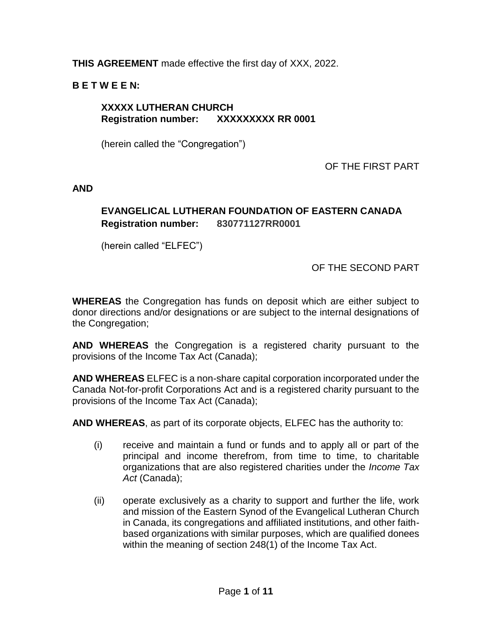# **THIS AGREEMENT** made effective the first day of XXX, 2022.

# **B E T W E E N:**

## **XXXXX LUTHERAN CHURCH Registration number: XXXXXXXXX RR 0001**

(herein called the "Congregation")

OF THE FIRST PART

**AND**

# **EVANGELICAL LUTHERAN FOUNDATION OF EASTERN CANADA Registration number: 830771127RR0001**

(herein called "ELFEC")

OF THE SECOND PART

**WHEREAS** the Congregation has funds on deposit which are either subject to donor directions and/or designations or are subject to the internal designations of the Congregation;

**AND WHEREAS** the Congregation is a registered charity pursuant to the provisions of the Income Tax Act (Canada);

**AND WHEREAS** ELFEC is a non-share capital corporation incorporated under the Canada Not-for-profit Corporations Act and is a registered charity pursuant to the provisions of the Income Tax Act (Canada);

**AND WHEREAS**, as part of its corporate objects, ELFEC has the authority to:

- (i) receive and maintain a fund or funds and to apply all or part of the principal and income therefrom, from time to time, to charitable organizations that are also registered charities under the *Income Tax Act* (Canada);
- (ii) operate exclusively as a charity to support and further the life, work and mission of the Eastern Synod of the Evangelical Lutheran Church in Canada, its congregations and affiliated institutions, and other faithbased organizations with similar purposes, which are qualified donees within the meaning of section 248(1) of the Income Tax Act.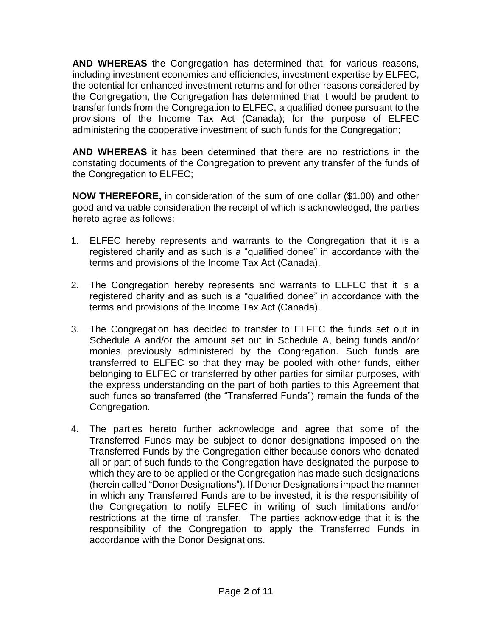**AND WHEREAS** the Congregation has determined that, for various reasons, including investment economies and efficiencies, investment expertise by ELFEC, the potential for enhanced investment returns and for other reasons considered by the Congregation, the Congregation has determined that it would be prudent to transfer funds from the Congregation to ELFEC, a qualified donee pursuant to the provisions of the Income Tax Act (Canada); for the purpose of ELFEC administering the cooperative investment of such funds for the Congregation;

**AND WHEREAS** it has been determined that there are no restrictions in the constating documents of the Congregation to prevent any transfer of the funds of the Congregation to ELFEC;

**NOW THEREFORE,** in consideration of the sum of one dollar (\$1.00) and other good and valuable consideration the receipt of which is acknowledged, the parties hereto agree as follows:

- 1. ELFEC hereby represents and warrants to the Congregation that it is a registered charity and as such is a "qualified donee" in accordance with the terms and provisions of the Income Tax Act (Canada).
- 2. The Congregation hereby represents and warrants to ELFEC that it is a registered charity and as such is a "qualified donee" in accordance with the terms and provisions of the Income Tax Act (Canada).
- 3. The Congregation has decided to transfer to ELFEC the funds set out in Schedule A and/or the amount set out in Schedule A, being funds and/or monies previously administered by the Congregation. Such funds are transferred to ELFEC so that they may be pooled with other funds, either belonging to ELFEC or transferred by other parties for similar purposes, with the express understanding on the part of both parties to this Agreement that such funds so transferred (the "Transferred Funds") remain the funds of the Congregation.
- 4. The parties hereto further acknowledge and agree that some of the Transferred Funds may be subject to donor designations imposed on the Transferred Funds by the Congregation either because donors who donated all or part of such funds to the Congregation have designated the purpose to which they are to be applied or the Congregation has made such designations (herein called "Donor Designations"). If Donor Designations impact the manner in which any Transferred Funds are to be invested, it is the responsibility of the Congregation to notify ELFEC in writing of such limitations and/or restrictions at the time of transfer. The parties acknowledge that it is the responsibility of the Congregation to apply the Transferred Funds in accordance with the Donor Designations.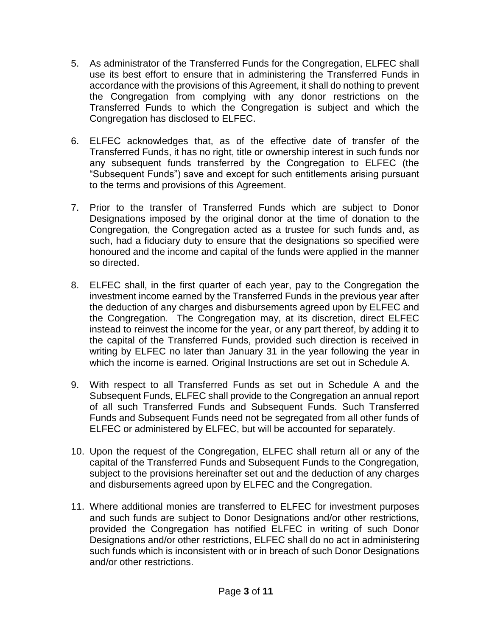- 5. As administrator of the Transferred Funds for the Congregation, ELFEC shall use its best effort to ensure that in administering the Transferred Funds in accordance with the provisions of this Agreement, it shall do nothing to prevent the Congregation from complying with any donor restrictions on the Transferred Funds to which the Congregation is subject and which the Congregation has disclosed to ELFEC.
- 6. ELFEC acknowledges that, as of the effective date of transfer of the Transferred Funds, it has no right, title or ownership interest in such funds nor any subsequent funds transferred by the Congregation to ELFEC (the "Subsequent Funds") save and except for such entitlements arising pursuant to the terms and provisions of this Agreement.
- 7. Prior to the transfer of Transferred Funds which are subject to Donor Designations imposed by the original donor at the time of donation to the Congregation, the Congregation acted as a trustee for such funds and, as such, had a fiduciary duty to ensure that the designations so specified were honoured and the income and capital of the funds were applied in the manner so directed.
- 8. ELFEC shall, in the first quarter of each year, pay to the Congregation the investment income earned by the Transferred Funds in the previous year after the deduction of any charges and disbursements agreed upon by ELFEC and the Congregation. The Congregation may, at its discretion, direct ELFEC instead to reinvest the income for the year, or any part thereof, by adding it to the capital of the Transferred Funds, provided such direction is received in writing by ELFEC no later than January 31 in the year following the year in which the income is earned. Original Instructions are set out in Schedule A.
- 9. With respect to all Transferred Funds as set out in Schedule A and the Subsequent Funds, ELFEC shall provide to the Congregation an annual report of all such Transferred Funds and Subsequent Funds. Such Transferred Funds and Subsequent Funds need not be segregated from all other funds of ELFEC or administered by ELFEC, but will be accounted for separately.
- 10. Upon the request of the Congregation, ELFEC shall return all or any of the capital of the Transferred Funds and Subsequent Funds to the Congregation, subject to the provisions hereinafter set out and the deduction of any charges and disbursements agreed upon by ELFEC and the Congregation.
- 11. Where additional monies are transferred to ELFEC for investment purposes and such funds are subject to Donor Designations and/or other restrictions, provided the Congregation has notified ELFEC in writing of such Donor Designations and/or other restrictions, ELFEC shall do no act in administering such funds which is inconsistent with or in breach of such Donor Designations and/or other restrictions.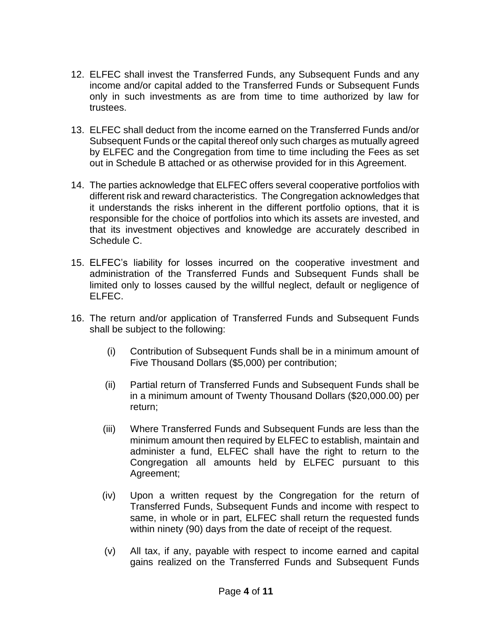- 12. ELFEC shall invest the Transferred Funds, any Subsequent Funds and any income and/or capital added to the Transferred Funds or Subsequent Funds only in such investments as are from time to time authorized by law for trustees.
- 13. ELFEC shall deduct from the income earned on the Transferred Funds and/or Subsequent Funds or the capital thereof only such charges as mutually agreed by ELFEC and the Congregation from time to time including the Fees as set out in Schedule B attached or as otherwise provided for in this Agreement.
- 14. The parties acknowledge that ELFEC offers several cooperative portfolios with different risk and reward characteristics. The Congregation acknowledges that it understands the risks inherent in the different portfolio options, that it is responsible for the choice of portfolios into which its assets are invested, and that its investment objectives and knowledge are accurately described in Schedule C.
- 15. ELFEC's liability for losses incurred on the cooperative investment and administration of the Transferred Funds and Subsequent Funds shall be limited only to losses caused by the willful neglect, default or negligence of ELFEC.
- 16. The return and/or application of Transferred Funds and Subsequent Funds shall be subject to the following:
	- (i) Contribution of Subsequent Funds shall be in a minimum amount of Five Thousand Dollars (\$5,000) per contribution;
	- (ii) Partial return of Transferred Funds and Subsequent Funds shall be in a minimum amount of Twenty Thousand Dollars (\$20,000.00) per return;
	- (iii) Where Transferred Funds and Subsequent Funds are less than the minimum amount then required by ELFEC to establish, maintain and administer a fund, ELFEC shall have the right to return to the Congregation all amounts held by ELFEC pursuant to this Agreement;
	- (iv) Upon a written request by the Congregation for the return of Transferred Funds, Subsequent Funds and income with respect to same, in whole or in part, ELFEC shall return the requested funds within ninety (90) days from the date of receipt of the request.
	- (v) All tax, if any, payable with respect to income earned and capital gains realized on the Transferred Funds and Subsequent Funds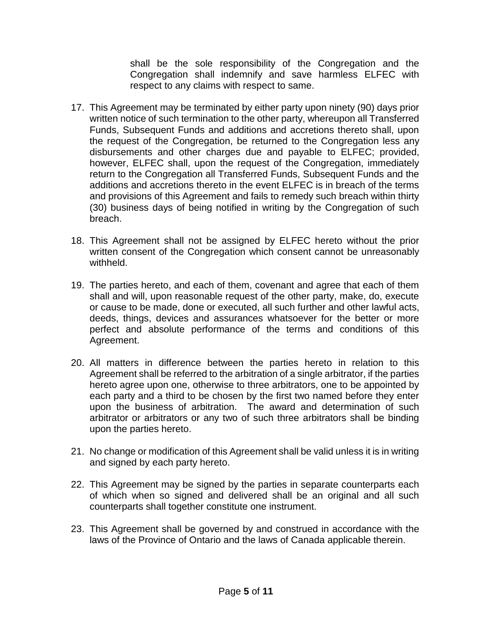shall be the sole responsibility of the Congregation and the Congregation shall indemnify and save harmless ELFEC with respect to any claims with respect to same.

- 17. This Agreement may be terminated by either party upon ninety (90) days prior written notice of such termination to the other party, whereupon all Transferred Funds, Subsequent Funds and additions and accretions thereto shall, upon the request of the Congregation, be returned to the Congregation less any disbursements and other charges due and payable to ELFEC; provided, however, ELFEC shall, upon the request of the Congregation, immediately return to the Congregation all Transferred Funds, Subsequent Funds and the additions and accretions thereto in the event ELFEC is in breach of the terms and provisions of this Agreement and fails to remedy such breach within thirty (30) business days of being notified in writing by the Congregation of such breach.
- 18. This Agreement shall not be assigned by ELFEC hereto without the prior written consent of the Congregation which consent cannot be unreasonably withheld.
- 19. The parties hereto, and each of them, covenant and agree that each of them shall and will, upon reasonable request of the other party, make, do, execute or cause to be made, done or executed, all such further and other lawful acts, deeds, things, devices and assurances whatsoever for the better or more perfect and absolute performance of the terms and conditions of this Agreement.
- 20. All matters in difference between the parties hereto in relation to this Agreement shall be referred to the arbitration of a single arbitrator, if the parties hereto agree upon one, otherwise to three arbitrators, one to be appointed by each party and a third to be chosen by the first two named before they enter upon the business of arbitration. The award and determination of such arbitrator or arbitrators or any two of such three arbitrators shall be binding upon the parties hereto.
- 21. No change or modification of this Agreement shall be valid unless it is in writing and signed by each party hereto.
- 22. This Agreement may be signed by the parties in separate counterparts each of which when so signed and delivered shall be an original and all such counterparts shall together constitute one instrument.
- 23. This Agreement shall be governed by and construed in accordance with the laws of the Province of Ontario and the laws of Canada applicable therein.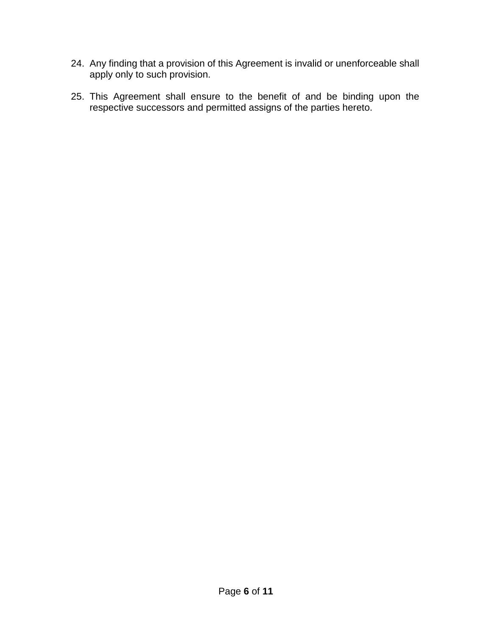- 24. Any finding that a provision of this Agreement is invalid or unenforceable shall apply only to such provision.
- 25. This Agreement shall ensure to the benefit of and be binding upon the respective successors and permitted assigns of the parties hereto.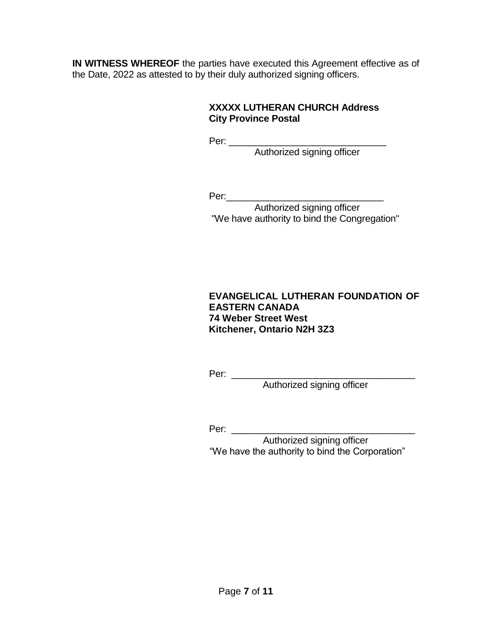**IN WITNESS WHEREOF** the parties have executed this Agreement effective as of the Date, 2022 as attested to by their duly authorized signing officers.

## **XXXXX LUTHERAN CHURCH Address City Province Postal**

Per: \_\_\_\_\_\_\_\_\_\_\_\_\_\_\_\_\_\_\_\_\_\_\_\_\_\_\_\_\_\_

Authorized signing officer

Per:\_\_\_\_\_\_\_\_\_\_\_\_\_\_\_\_\_\_\_\_\_\_\_\_\_\_\_\_\_\_

Authorized signing officer "We have authority to bind the Congregation"

## **EVANGELICAL LUTHERAN FOUNDATION OF EASTERN CANADA 74 Weber Street West Kitchener, Ontario N2H 3Z3**

Per: \_\_\_\_\_\_\_\_\_\_\_\_\_\_\_\_\_\_\_\_\_\_\_\_\_\_\_\_\_\_\_\_\_\_\_

Authorized signing officer

Per: \_\_\_\_\_\_\_\_\_\_\_\_\_\_\_\_\_\_\_\_\_\_\_\_\_\_\_\_\_\_\_\_\_\_\_

 Authorized signing officer "We have the authority to bind the Corporation"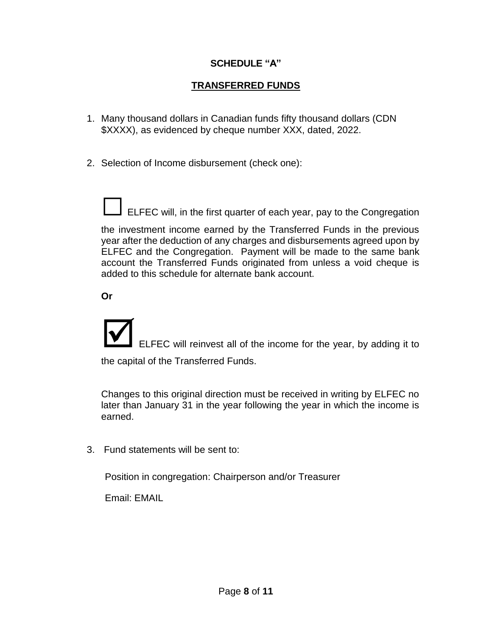## **SCHEDULE "A"**

# **TRANSFERRED FUNDS**

- 1. Many thousand dollars in Canadian funds fifty thousand dollars (CDN \$XXXX), as evidenced by cheque number XXX, dated, 2022.
- 2. Selection of Income disbursement (check one):

ELFEC will, in the first quarter of each year, pay to the Congregation

the investment income earned by the Transferred Funds in the previous year after the deduction of any charges and disbursements agreed upon by ELFEC and the Congregation. Payment will be made to the same bank account the Transferred Funds originated from unless a void cheque is added to this schedule for alternate bank account.

**Or**

ELFEC will reinvest all of the income for the year, by adding it to the capital of the Transferred Funds.

Changes to this original direction must be received in writing by ELFEC no later than January 31 in the year following the year in which the income is earned.

3. Fund statements will be sent to:

Position in congregation: Chairperson and/or Treasurer

Email: EMAIL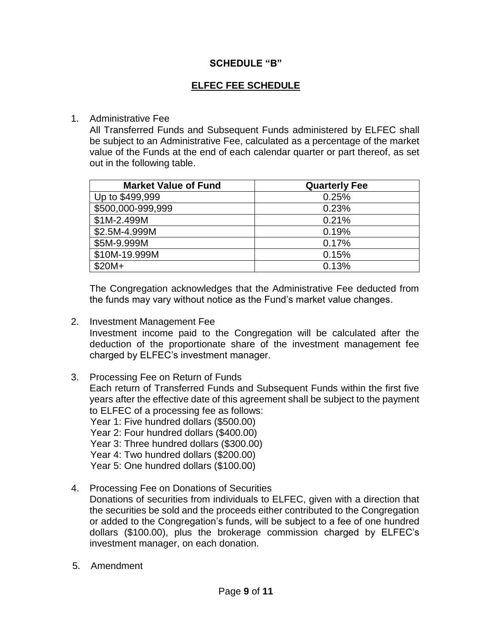#### **SCHEDULE "B"**

# **ELFEC FEE SCHEDULE**

#### 1. Administrative Fee

All Transferred Funds and Subsequent Funds administered by ELFEC shall be subject to an Administrative Fee, calculated as a percentage of the market value of the Funds at the end of each calendar quarter or part thereof, as set out in the following table.

| <b>Market Value of Fund</b> | <b>Quarterly Fee</b> |
|-----------------------------|----------------------|
| Up to \$499,999             | 0.25%                |
| \$500,000-999,999           | 0.23%                |
| \$1M-2.499M                 | 0.21%                |
| \$2.5M-4.999M               | 0.19%                |
| \$5M-9.999M                 | 0.17%                |
| \$10M-19.999M               | 0.15%                |
| $$20M+$                     | 0.13%                |

The Congregation acknowledges that the Administrative Fee deducted from the funds may vary without notice as the Fund's market value changes.

2. Investment Management Fee

Investment income paid to the Congregation will be calculated after the deduction of the proportionate share of the investment management fee charged by ELFEC's investment manager.

- 3. Processing Fee on Return of Funds Each return of Transferred Funds and Subsequent Funds within the first five years after the effective date of this agreement shall be subject to the payment to ELFEC of a processing fee as follows: Year 1: Five hundred dollars (\$500.00) Year 2: Four hundred dollars (\$400.00) Year 3: Three hundred dollars (\$300.00) Year 4: Two hundred dollars (\$200.00) Year 5: One hundred dollars (\$100.00)
- 4. Processing Fee on Donations of Securities Donations of securities from individuals to ELFEC, given with a direction that the securities be sold and the proceeds either contributed to the Congregation or added to the Congregation's funds, will be subject to a fee of one hundred dollars (\$100.00), plus the brokerage commission charged by ELFEC's investment manager, on each donation.
- 5. Amendment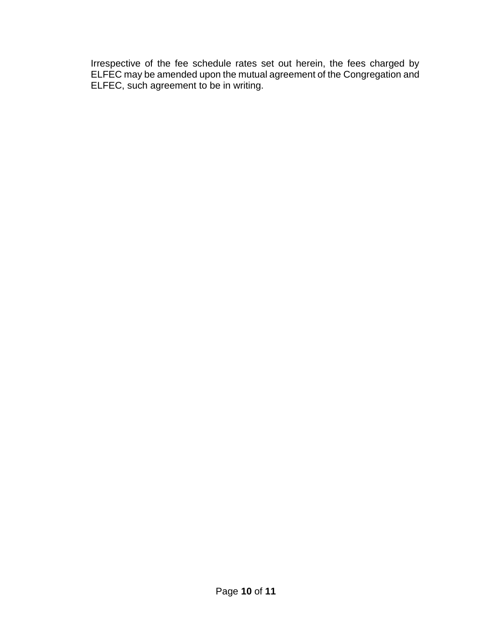Irrespective of the fee schedule rates set out herein, the fees charged by ELFEC may be amended upon the mutual agreement of the Congregation and ELFEC, such agreement to be in writing.